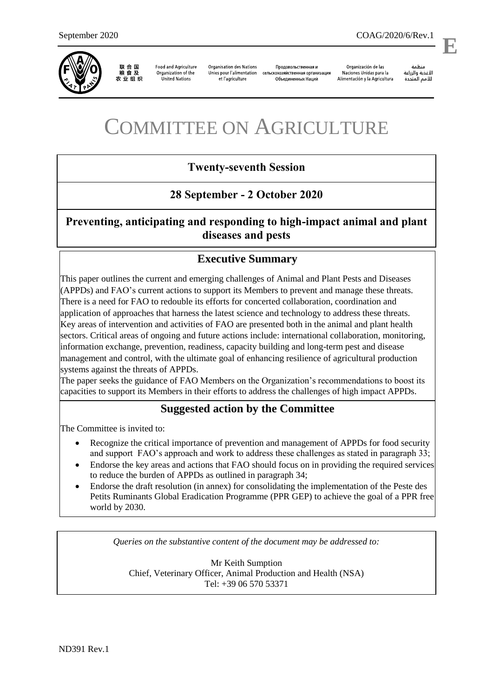

联合国<br>粮食及 农业组织

**Food and Agriculture** Organization of the **United Nations** 

**Organisation des Nations** Unies pour l'alimentation et l'agriculture

Продовольственная и сельскохозяйственная организация Объединенных Наций

Organización de las Naciones Unidas para la Alimentación y la Agricultura

منظمة الأغذية والزراعة 

l,

**E**

# COMMITTEE ON AGRICULTURE

# **Twenty-seventh Session**

# **28 September - 2 October 2020**

# **Preventing, anticipating and responding to high-impact animal and plant diseases and pests**

# **Executive Summary**

This paper outlines the current and emerging challenges of Animal and Plant Pests and Diseases (APPDs) and FAO's current actions to support its Members to prevent and manage these threats. There is a need for FAO to redouble its efforts for concerted collaboration, coordination and application of approaches that harness the latest science and technology to address these threats. Key areas of intervention and activities of FAO are presented both in the animal and plant health sectors. Critical areas of ongoing and future actions include: international collaboration, monitoring, information exchange, prevention, readiness, capacity building and long-term pest and disease management and control, with the ultimate goal of enhancing resilience of agricultural production systems against the threats of APPDs.

The paper seeks the guidance of FAO Members on the Organization's recommendations to boost its capacities to support its Members in their efforts to address the challenges of high impact APPDs.

## **Suggested action by the Committee**

The Committee is invited to:

- Recognize the critical importance of prevention and management of APPDs for food security and support FAO's approach and work to address these challenges as stated in paragraph 33;
- Endorse the key areas and actions that FAO should focus on in providing the required services to reduce the burden of APPDs as outlined in paragraph 34;
- Endorse the draft resolution (in annex) for consolidating the implementation of the Peste des Petits Ruminants Global Eradication Programme (PPR GEP) to achieve the goal of a PPR free world by 2030.

*Queries on the substantive content of the document may be addressed to:*

Mr Keith Sumption Chief, Veterinary Officer, Animal Production and Health (NSA) Tel: +39 06 570 53371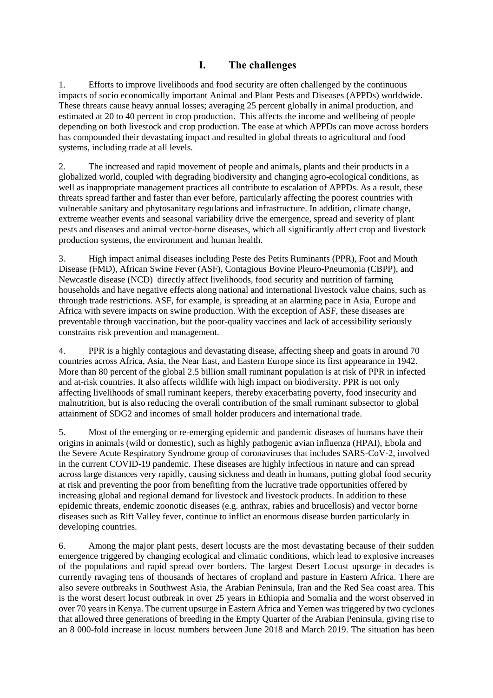## **I. The challenges**

1. Efforts to improve livelihoods and food security are often challenged by the continuous impacts of socio economically important Animal and Plant Pests and Diseases (APPDs) worldwide. These threats cause heavy annual losses; averaging 25 percent globally in animal production, and estimated at 20 to 40 percent in crop production. This affects the income and wellbeing of people depending on both livestock and crop production. The ease at which APPDs can move across borders has compounded their devastating impact and resulted in global threats to agricultural and food systems, including trade at all levels.

2. The increased and rapid movement of people and animals, plants and their products in a globalized world, coupled with degrading biodiversity and changing agro-ecological conditions, as well as inappropriate management practices all contribute to escalation of APPDs. As a result, these threats spread farther and faster than ever before, particularly affecting the poorest countries with vulnerable sanitary and phytosanitary regulations and infrastructure. In addition, climate change, extreme weather events and seasonal variability drive the emergence, spread and severity of plant pests and diseases and animal vector-borne diseases, which all significantly affect crop and livestock production systems, the environment and human health.

3. High impact animal diseases including Peste des Petits Ruminants (PPR), Foot and Mouth Disease (FMD), African Swine Fever (ASF), Contagious Bovine Pleuro-Pneumonia (CBPP), and Newcastle disease (NCD) directly affect livelihoods, food security and nutrition of farming households and have negative effects along national and international livestock value chains, such as through trade restrictions. ASF, for example, is spreading at an alarming pace in Asia, Europe and Africa with severe impacts on swine production. With the exception of ASF, these diseases are preventable through vaccination, but the poor-quality vaccines and lack of accessibility seriously constrains risk prevention and management.

4. PPR is a highly contagious and devastating disease, affecting sheep and goats in around 70 countries across Africa, Asia, the Near East, and Eastern Europe since its first appearance in 1942. More than 80 percent of the global 2.5 billion small ruminant population is at risk of PPR in infected and at-risk countries. It also affects wildlife with high impact on biodiversity. PPR is not only affecting livelihoods of small ruminant keepers, thereby exacerbating poverty, food insecurity and malnutrition, but is also reducing the overall contribution of the small ruminant subsector to global attainment of SDG2 and incomes of small holder producers and international trade.

5. Most of the emerging or re-emerging epidemic and pandemic diseases of humans have their origins in animals (wild or domestic), such as highly pathogenic avian influenza (HPAI), Ebola and the Severe Acute Respiratory Syndrome group of coronaviruses that includes SARS-CoV-2, involved in the current COVID-19 pandemic. These diseases are highly infectious in nature and can spread across large distances very rapidly, causing sickness and death in humans, putting global food security at risk and preventing the poor from benefiting from the lucrative trade opportunities offered by increasing global and regional demand for livestock and livestock products. In addition to these epidemic threats, endemic zoonotic diseases (e.g. anthrax, rabies and brucellosis) and vector borne diseases such as Rift Valley fever, continue to inflict an enormous disease burden particularly in developing countries.

6. Among the major plant pests, desert locusts are the most devastating because of their sudden emergence triggered by changing ecological and climatic conditions, which lead to explosive increases of the populations and rapid spread over borders. The largest Desert Locust upsurge in decades is currently ravaging tens of thousands of hectares of cropland and pasture in Eastern Africa. There are also severe outbreaks in Southwest Asia, the Arabian Peninsula, Iran and the Red Sea coast area. This is the worst desert locust outbreak in over 25 years in Ethiopia and Somalia and the worst observed in over 70 years in Kenya. The current upsurge in Eastern Africa and Yemen was triggered by two cyclones that allowed three generations of breeding in the Empty Quarter of the Arabian Peninsula, giving rise to an 8 000-fold increase in locust numbers between June 2018 and March 2019. The situation has been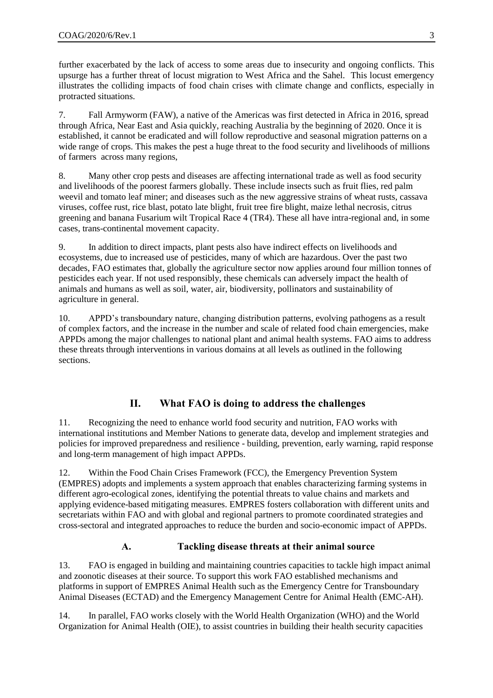further exacerbated by the lack of access to some areas due to insecurity and ongoing conflicts. This upsurge has a further threat of locust migration to West Africa and the Sahel. This locust emergency illustrates the colliding impacts of food chain crises with climate change and conflicts, especially in protracted situations.

7. Fall Armyworm (FAW), a native of the Americas was first detected in Africa in 2016, spread through Africa, Near East and Asia quickly, reaching Australia by the beginning of 2020. Once it is established, it cannot be eradicated and will follow reproductive and seasonal migration patterns on a wide range of crops. This makes the pest a huge threat to the food security and livelihoods of millions of farmers across many regions,

8. Many other crop pests and diseases are affecting international trade as well as food security and livelihoods of the poorest farmers globally. These include insects such as fruit flies, red palm weevil and tomato leaf miner; and diseases such as the new aggressive strains of wheat rusts, cassava viruses, coffee rust, rice blast, potato late blight, fruit tree fire blight, maize lethal necrosis, citrus greening and banana Fusarium wilt Tropical Race 4 (TR4). These all have intra-regional and, in some cases, trans-continental movement capacity.

9. In addition to direct impacts, plant pests also have indirect effects on livelihoods and ecosystems, due to increased use of pesticides, many of which are hazardous. Over the past two decades, FAO estimates that, globally the agriculture sector now applies around four million tonnes of pesticides each year. If not used responsibly, these chemicals can adversely impact the health of animals and humans as well as soil, water, air, biodiversity, pollinators and sustainability of agriculture in general.

10. APPD's transboundary nature, changing distribution patterns, evolving pathogens as a result of complex factors, and the increase in the number and scale of related food chain emergencies, make APPDs among the major challenges to national plant and animal health systems. FAO aims to address these threats through interventions in various domains at all levels as outlined in the following sections.

## **II. What FAO is doing to address the challenges**

11. Recognizing the need to enhance world food security and nutrition, FAO works with international institutions and Member Nations to generate data, develop and implement strategies and policies for improved preparedness and resilience - building, prevention, early warning, rapid response and long-term management of high impact APPDs.

12. Within the Food Chain Crises Framework (FCC), the [Emergency Prevention System](http://www.fao.org/ag/againfo/programmes/en/empres.html)  [\(EMPRES\)](http://www.fao.org/ag/againfo/programmes/en/empres.html) adopts and implements a system approach that enables characterizing farming systems in different agro-ecological zones, identifying the potential threats to value chains and markets and applying evidence-based mitigating measures. EMPRES fosters collaboration with different units and secretariats within FAO and with global and regional partners to promote coordinated strategies and cross-sectoral and integrated approaches to reduce the burden and socio-economic impact of APPDs.

## **A. Tackling disease threats at their animal source**

13. FAO is engaged in building and maintaining countries capacities to tackle high impact animal and zoonotic diseases at their source. To support this work FAO established mechanisms and platforms in support of EMPRES Animal Health such as the [Emergency Centre for Transboundary](http://www.fao.org/ag/againfo/programmes/en/empres/ah1n1/Ectad.html)  [Animal Diseases](http://www.fao.org/ag/againfo/programmes/en/empres/ah1n1/Ectad.html) (ECTAD) and the [Emergency Management Centre for Animal Health](http://www.fao.org/emergencies/how-we-work/prepare-and-respond/cmc-animal-health/en/) (EMC-AH).

14. In parallel, FAO works closely with the World Health Organization (WHO) and the World Organization for Animal Health (OIE), to assist countries in building their health security capacities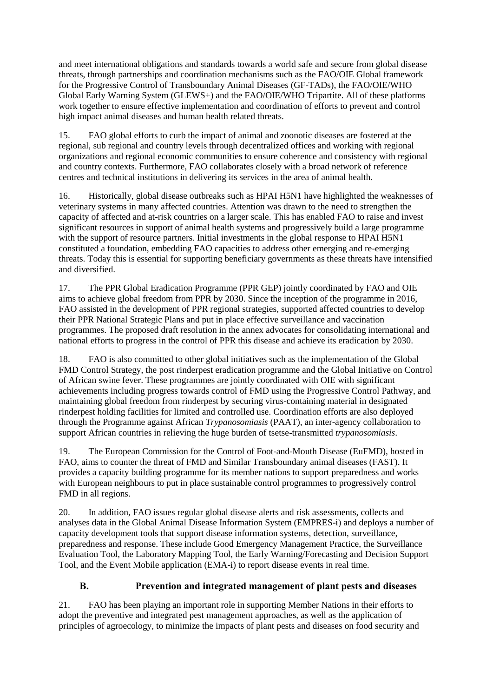and meet international obligations and standards towards a world safe and secure from global disease threats, through partnerships and coordination mechanisms such as the FAO/OIE Global framework for the Progressive Control of Transboundary Animal Diseases (GF-TADs), the FAO/OIE/WHO Global Early Warning System (GLEWS+) and the FAO/OIE/WHO Tripartite. All of these platforms work together to ensure effective implementation and coordination of efforts to prevent and control high impact animal diseases and human health related threats.

15. FAO global efforts to curb the impact of animal and zoonotic diseases are fostered at the regional, sub regional and country levels through decentralized offices and working with regional organizations and regional economic communities to ensure coherence and consistency with regional and country contexts. Furthermore, FAO collaborates closely with a broad network of reference centres and technical institutions in delivering its services in the area of animal health.

16. Historically, global disease outbreaks such as HPAI H5N1 have highlighted the weaknesses of veterinary systems in many affected countries. Attention was drawn to the need to strengthen the capacity of affected and at-risk countries on a larger scale. This has enabled FAO to raise and invest significant resources in support of animal health systems and progressively build a large programme with the support of resource partners. Initial investments in the global response to HPAI H5N1 constituted a foundation, embedding FAO capacities to address other emerging and re-emerging threats. Today this is essential for supporting beneficiary governments as these threats have intensified and diversified.

17. The PPR Global Eradication Programme (PPR GEP) jointly coordinated by FAO and OIE aims to achieve global freedom from PPR by 2030. Since the inception of the programme in 2016, FAO assisted in the development of PPR regional strategies, supported affected countries to develop their PPR National Strategic Plans and put in place effective surveillance and vaccination programmes. The proposed draft resolution in the annex advocates for consolidating international and national efforts to progress in the control of PPR this disease and achieve its eradication by 2030.

18. FAO is also committed to other global initiatives such as the implementation of the Global FMD Control Strategy, the post rinderpest eradication programme and the Global Initiative on Control of African swine fever. These programmes are jointly coordinated with OIE with significant achievements including progress towards control of FMD using the [Progressive Control Pathway, a](http://www.fao.org/ag/againfo/commissions/eufmd/commissions/eufmd-home/progressive-control-pathway-pcp/en/)nd maintaining global freedom from rinderpest by securing virus-containing material in designated rinderpest holding facilities for limited and controlled use. Coordination efforts are also deployed through the Programme against African *Trypanosomiasis* (PAAT), an inter-agency collaboration to support African countries in relieving the huge burden of tsetse-transmitted *trypanosomiasis*.

19. The European Commission for the Control of Foot-and-Mouth Disease (EuFMD), hosted in FAO, aims to counter the threat of FMD and Similar Transboundary animal diseases (FAST). It provides a capacity building programme for its member nations to support preparedness and works with European neighbours to put in place sustainable control programmes to progressively control FMD in all regions.

20. In addition, FAO issues regular global disease alerts and risk assessments, collects and analyses data in the Global Animal Disease Information System (EMPRES-i) and deploys a number of capacity development tools that support disease information systems, detection, surveillance, preparedness and response. These include Good Emergency Management Practice, the Surveillance Evaluation Tool, the Laboratory Mapping Tool, the Early Warning/Forecasting and Decision Support Tool, and the Event Mobile application (EMA-i) to report disease events in real time.

## **B. Prevention and integrated management of plant pests and diseases**

21. FAO has been playing an important role in supporting Member Nations in their efforts to adopt the preventive and integrated pest management approaches, as well as the application of principles of agroecology, to minimize the impacts of plant pests and diseases on food security and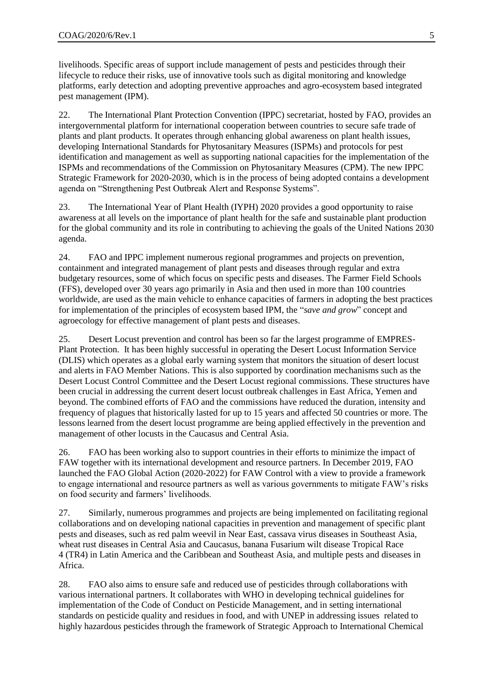livelihoods. Specific areas of support include management of pests and pesticides through their lifecycle to reduce their risks, use of innovative tools such as digital monitoring and knowledge platforms, early detection and adopting preventive approaches and agro-ecosystem based integrated pest management (IPM).

22. The International Plant Protection Convention (IPPC) secretariat, hosted by FAO, provides an intergovernmental platform for international cooperation between countries to secure safe trade of plants and plant products. It operates through enhancing global awareness on plant health issues, developing International Standards for Phytosanitary Measures (ISPMs) and protocols for pest identification and management as well as supporting national capacities for the implementation of the ISPMs and recommendations of the Commission on Phytosanitary Measures (CPM). The new IPPC Strategic Framework for 2020-2030, which is in the process of being adopted contains a development agenda on "Strengthening Pest Outbreak Alert and Response Systems".

23. The International Year of Plant Health (IYPH) 2020 provides a good opportunity to raise awareness at all levels on the importance of plant health for the safe and sustainable plant production for the global community and its role in contributing to achieving the goals of the United Nations 2030 agenda.

24. FAO and IPPC implement numerous regional programmes and projects on prevention, containment and integrated management of plant pests and diseases through regular and extra budgetary resources, some of which focus on specific pests and diseases. The Farmer Field Schools (FFS), developed over 30 years ago primarily in Asia and then used in more than 100 countries worldwide, are used as the main vehicle to enhance capacities of farmers in adopting the best practices for implementation of the principles of ecosystem based IPM, the "*save and grow*" concept and agroecology for effective management of plant pests and diseases.

25. Desert Locust prevention and control has been so far the largest programme of EMPRES-Plant Protection. It has been highly successful in operating the Desert Locust Information Service (DLIS) which operates as a global early warning system that monitors the situation of desert locust and alerts in FAO Member Nations. This is also supported by coordination mechanisms such as the Desert Locust Control Committee and the Desert Locust regional commissions. These structures have been crucial in addressing the current desert locust outbreak challenges in East Africa, Yemen and beyond. The combined efforts of FAO and the commissions have reduced the duration, intensity and frequency of plagues that historically lasted for up to 15 years and affected 50 countries or more. The lessons learned from the desert locust programme are being applied effectively in the prevention and management of other locusts in the Caucasus and Central Asia.

26. FAO has been working also to support countries in their efforts to minimize the impact of FAW together with its international development and resource partners. In December 2019, FAO launched the FAO Global Action (2020-2022) for FAW Control with a view to provide a framework to engage international and resource partners as well as various governments to mitigate FAW's risks on food security and farmers' livelihoods.

27. Similarly, numerous programmes and projects are being implemented on facilitating regional collaborations and on developing national capacities in prevention and management of specific plant pests and diseases, such as red palm weevil in Near East, cassava virus diseases in Southeast Asia, wheat rust diseases in Central Asia and Caucasus, banana Fusarium wilt disease Tropical Race 4 (TR4) in Latin America and the Caribbean and Southeast Asia, and multiple pests and diseases in Africa.

28. FAO also aims to ensure safe and reduced use of pesticides through collaborations with various international partners. It collaborates with WHO in developing technical guidelines for implementation of the Code of Conduct on Pesticide Management, and in setting international standards on pesticide quality and residues in food, and with UNEP in addressing issues related to highly hazardous pesticides through the framework of Strategic Approach to International Chemical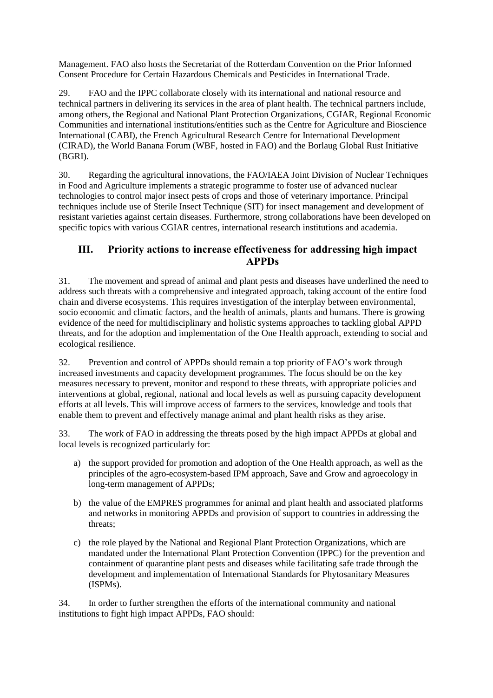Management. FAO also hosts the Secretariat of the Rotterdam Convention on the Prior Informed Consent Procedure for Certain Hazardous Chemicals and Pesticides in International Trade.

29. FAO and the IPPC collaborate closely with its international and national resource and technical partners in delivering its services in the area of plant health. The technical partners include, among others, the Regional and National Plant Protection Organizations, CGIAR, Regional Economic Communities and international institutions/entities such as the Centre for Agriculture and Bioscience International (CABI), the French Agricultural Research Centre for International Development (CIRAD), the World Banana Forum (WBF, hosted in FAO) and the Borlaug Global Rust Initiative (BGRI).

30. Regarding the agricultural innovations, the FAO/IAEA Joint Division of Nuclear Techniques in Food and Agriculture implements a strategic programme to foster use of advanced nuclear technologies to control major insect pests of crops and those of veterinary importance. Principal techniques include use of Sterile Insect Technique (SIT) for insect management and development of resistant varieties against certain diseases. Furthermore, strong collaborations have been developed on specific topics with various CGIAR centres, international research institutions and academia.

## **III. Priority actions to increase effectiveness for addressing high impact APPDs**

31. The movement and spread of animal and plant pests and diseases have underlined the need to address such threats with a comprehensive and integrated approach, taking account of the entire food chain and diverse ecosystems. This requires investigation of the interplay between environmental, socio economic and climatic factors, and the health of animals, plants and humans. There is growing evidence of the need for multidisciplinary and holistic systems approaches to tackling global APPD threats, and for the adoption and implementation of the One Health approach, extending to social and ecological resilience.

32. Prevention and control of APPDs should remain a top priority of FAO's work through increased investments and capacity development programmes. The focus should be on the key measures necessary to prevent, monitor and respond to these threats, with appropriate policies and interventions at global, regional, national and local levels as well as pursuing capacity development efforts at all levels. This will improve access of farmers to the services, knowledge and tools that enable them to prevent and effectively manage animal and plant health risks as they arise.

33. The work of FAO in addressing the threats posed by the high impact APPDs at global and local levels is recognized particularly for:

- a) the support provided for promotion and adoption of the One Health approach, as well as the principles of the agro-ecosystem-based IPM approach, Save and Grow and agroecology in long-term management of APPDs;
- b) the value of the EMPRES programmes for animal and plant health and associated platforms and networks in monitoring APPDs and provision of support to countries in addressing the threats;
- c) the role played by the National and Regional Plant Protection Organizations, which are mandated under the International Plant Protection Convention (IPPC) for the prevention and containment of quarantine plant pests and diseases while facilitating safe trade through the development and implementation of International Standards for Phytosanitary Measures (ISPMs).

34. In order to further strengthen the efforts of the international community and national institutions to fight high impact APPDs, FAO should: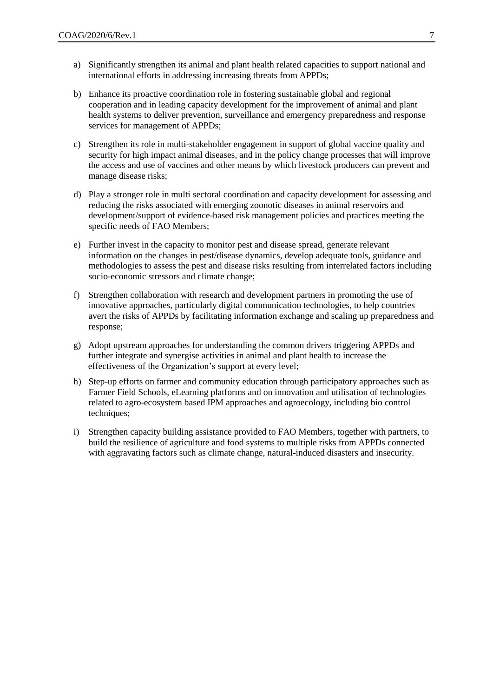- a) Significantly strengthen its animal and plant health related capacities to support national and international efforts in addressing increasing threats from APPDs;
- b) Enhance its proactive coordination role in fostering sustainable global and regional cooperation and in leading capacity development for the improvement of animal and plant health systems to deliver prevention, surveillance and emergency preparedness and response services for management of APPDs;
- c) Strengthen its role in multi-stakeholder engagement in support of global vaccine quality and security for high impact animal diseases, and in the policy change processes that will improve the access and use of vaccines and other means by which livestock producers can prevent and manage disease risks;
- d) Play a stronger role in multi sectoral coordination and capacity development for assessing and reducing the risks associated with emerging zoonotic diseases in animal reservoirs and development/support of evidence-based risk management policies and practices meeting the specific needs of FAO Members;
- e) Further invest in the capacity to monitor pest and disease spread, generate relevant information on the changes in pest/disease dynamics, develop adequate tools, guidance and methodologies to assess the pest and disease risks resulting from interrelated factors including socio-economic stressors and climate change;
- f) Strengthen collaboration with research and development partners in promoting the use of innovative approaches, particularly digital communication technologies, to help countries avert the risks of APPDs by facilitating information exchange and scaling up preparedness and response;
- g) Adopt upstream approaches for understanding the common drivers triggering APPDs and further integrate and synergise activities in animal and plant health to increase the effectiveness of the Organization's support at every level;
- h) Step-up efforts on farmer and community education through participatory approaches such as Farmer Field Schools, eLearning platforms and on innovation and utilisation of technologies related to agro-ecosystem based IPM approaches and agroecology, including bio control techniques;
- i) Strengthen capacity building assistance provided to FAO Members, together with partners, to build the resilience of agriculture and food systems to multiple risks from APPDs connected with aggravating factors such as climate change, natural-induced disasters and insecurity.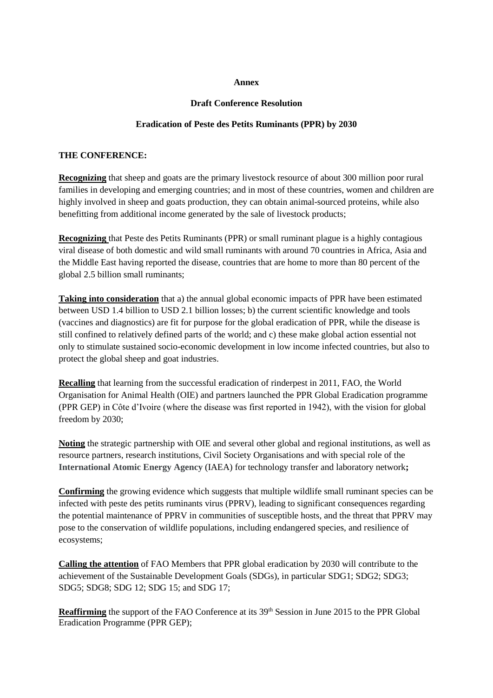#### **Annex**

## **Draft Conference Resolution**

## **Eradication of Peste des Petits Ruminants (PPR) by 2030**

## **THE CONFERENCE:**

**Recognizing** that sheep and goats are the primary livestock resource of about 300 million poor rural families in developing and emerging countries; and in most of these countries, women and children are highly involved in sheep and goats production, they can obtain animal-sourced proteins, while also benefitting from additional income generated by the sale of livestock products;

**Recognizing** that Peste des Petits Ruminants (PPR) or small ruminant plague is a highly contagious viral disease of both domestic and wild small ruminants with around 70 countries in Africa, Asia and the Middle East having reported the disease, countries that are home to more than 80 percent of the global 2.5 billion small ruminants;

**Taking into consideration** that a) the annual global economic impacts of PPR have been estimated between USD 1.4 billion to USD 2.1 billion losses; b) the current scientific knowledge and tools (vaccines and diagnostics) are fit for purpose for the global eradication of PPR, while the disease is still confined to relatively defined parts of the world; and c) these make global action essential not only to stimulate sustained socio-economic development in low income infected countries, but also to protect the global sheep and goat industries.

**Recalling** that learning from the successful eradication of rinderpest in 2011, FAO, the World Organisation for Animal Health (OIE) and partners launched the PPR Global Eradication programme (PPR GEP) in Côte d'Ivoire (where the disease was first reported in 1942), with the vision for global freedom by 2030;

**Noting** the strategic partnership with OIE and several other global and regional institutions, as well as resource partners, research institutions, Civil Society Organisations and with special role of the **International Atomic Energy Agency** (IAEA) for technology transfer and laboratory network**;**

**Confirming** the growing evidence which suggests that multiple wildlife small ruminant species can be infected with peste des petits ruminants virus (PPRV), leading to significant consequences regarding the potential maintenance of PPRV in communities of susceptible hosts, and the threat that PPRV may pose to the conservation of wildlife populations, including endangered species, and resilience of ecosystems;

**Calling the attention** of FAO Members that PPR global eradication by 2030 will contribute to the achievement of the Sustainable Development Goals (SDGs), in particular SDG1; SDG2; SDG3; SDG5; SDG8; SDG 12; SDG 15; and SDG 17;

Reaffirming the support of the FAO Conference at its 39<sup>th</sup> Session in June 2015 to the PPR Global Eradication Programme (PPR GEP);